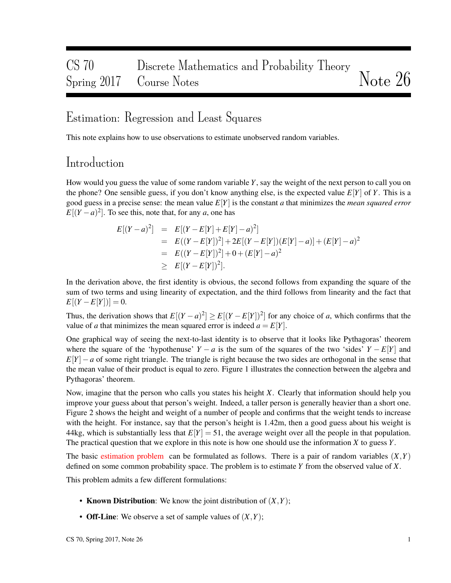## CS 70 Discrete Mathematics and Probability Theory Spring 2017 Course Notes Notes Notes Note 26

### Estimation: Regression and Least Squares

This note explains how to use observations to estimate unobserved random variables.

### Introduction

How would you guess the value of some random variable *Y*, say the weight of the next person to call you on the phone? One sensible guess, if you don't know anything else, is the expected value *E*[*Y*] of *Y*. This is a good guess in a precise sense: the mean value *E*[*Y*] is the constant *a* that minimizes the *mean squared error*  $E[(Y - a)^2]$ . To see this, note that, for any *a*, one has

$$
E[(Y-a)^2] = E[(Y-E[Y]+E[Y]-a)^2]
$$
  
=  $E((Y-E[Y])^2]+2E[(Y-E[Y])(E[Y]-a)]+(E[Y]-a)^2$   
=  $E((Y-E[Y])^2]+0+(E[Y]-a)^2$   
 $\ge E[(Y-E[Y])^2].$ 

In the derivation above, the first identity is obvious, the second follows from expanding the square of the sum of two terms and using linearity of expectation, and the third follows from linearity and the fact that  $E[(Y - E[Y])] = 0.$ 

Thus, the derivation shows that  $E[(Y - a)^2] \ge E[(Y - E[Y])^2]$  for any choice of *a*, which confirms that the value of *a* that minimizes the mean squared error is indeed  $a = E[Y]$ .

One graphical way of seeing the next-to-last identity is to observe that it looks like Pythagoras' theorem where the square of the 'hypothenuse'  $Y - a$  is the sum of the squares of the two 'sides'  $Y - E[Y]$  and *E*[*Y*]−*a* of some right triangle. The triangle is right because the two sides are orthogonal in the sense that the mean value of their product is equal to zero. Figure 1 illustrates the connection between the algebra and Pythagoras' theorem.

Now, imagine that the person who calls you states his height *X*. Clearly that information should help you improve your guess about that person's weight. Indeed, a taller person is generally heavier than a short one. Figure 2 shows the height and weight of a number of people and confirms that the weight tends to increase with the height. For instance, say that the person's height is 1.42m, then a good guess about his weight is 44kg, which is substantially less that  $E[Y] = 51$ , the average weight over all the people in that population. The practical question that we explore in this note is how one should use the information *X* to guess *Y*.

The basic estimation problem can be formulated as follows. There is a pair of random variables  $(X, Y)$ defined on some common probability space. The problem is to estimate *Y* from the observed value of *X*.

This problem admits a few different formulations:

- **Known Distribution:** We know the joint distribution of  $(X, Y)$ ;
- Off-Line: We observe a set of sample values of (*X*,*Y*);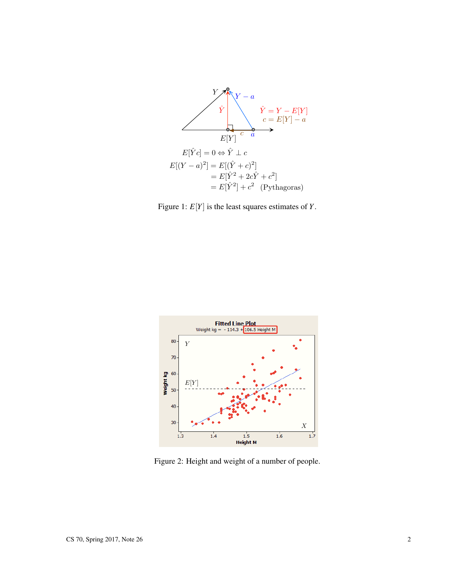





Figure 2: Height and weight of a number of people.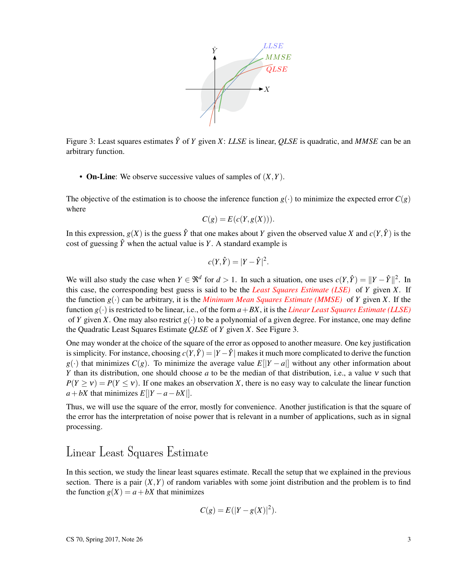

Figure 3: Least squares estimates  $\hat{Y}$  of  $Y$  given  $X$ : *LLSE* is linear, *QLSE* is quadratic, and *MMSE* can be an arbitrary function.

• On-Line: We observe successive values of samples of (*X*,*Y*).

The objective of the estimation is to choose the inference function  $g(\cdot)$  to minimize the expected error  $C(g)$ where

$$
C(g) = E(c(Y, g(X))).
$$

In this expression,  $g(X)$  is the guess  $\hat{Y}$  that one makes about *Y* given the observed value *X* and  $c(Y, \hat{Y})$  is the cost of guessing  $\hat{Y}$  when the actual value is *Y*. A standard example is

$$
c(Y,\hat{Y}) = |Y - \hat{Y}|^2.
$$

We will also study the case when  $Y \in \mathbb{R}^d$  for  $d > 1$ . In such a situation, one uses  $c(Y, \hat{Y}) = ||Y - \hat{Y}||^2$ . In this case, the corresponding best guess is said to be the *Least Squares Estimate (LSE)* of *Y* given *X*. If the function  $g(\cdot)$  can be arbitrary, it is the *Minimum Mean Squares Estimate (MMSE)* of *Y* given *X*. If the function  $g(.)$  is restricted to be linear, i.e., of the form  $a+BX$ , it is the *Linear Least Squares Estimate (LLSE)* of *Y* given *X*. One may also restrict  $g(\cdot)$  to be a polynomial of a given degree. For instance, one may define the Quadratic Least Squares Estimate *QLSE* of *Y* given *X*. See Figure 3.

One may wonder at the choice of the square of the error as opposed to another measure. One key justification is simplicity. For instance, choosing  $c(Y, \hat{Y}) = |Y - \hat{Y}|$  makes it much more complicated to derive the function *g*(·) that minimizes  $C(g)$ . To minimize the average value  $E[|Y - a|]$  without any other information about *Y* than its distribution, one should choose *a* to be the median of that distribution, i.e., a value ν such that  $P(Y \ge v) = P(Y \le v)$ . If one makes an observation *X*, there is no easy way to calculate the linear function  $a + bX$  that minimizes  $E[|Y - a - bX|]$ .

Thus, we will use the square of the error, mostly for convenience. Another justification is that the square of the error has the interpretation of noise power that is relevant in a number of applications, such as in signal processing.

### Linear Least Squares Estimate

In this section, we study the linear least squares estimate. Recall the setup that we explained in the previous section. There is a pair  $(X, Y)$  of random variables with some joint distribution and the problem is to find the function  $g(X) = a + bX$  that minimizes

$$
C(g) = E(|Y - g(X)|^2).
$$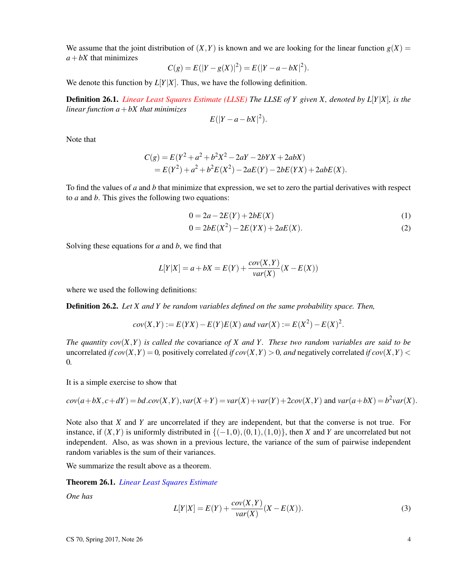We assume that the joint distribution of  $(X, Y)$  is known and we are looking for the linear function  $g(X)$  =  $a + bX$  that minimizes

$$
C(g) = E(|Y - g(X)|^2) = E(|Y - a - bX|^2).
$$

We denote this function by  $L[Y|X]$ . Thus, we have the following definition.

Definition 26.1. *Linear Least Squares Estimate (LLSE) The LLSE of Y given X, denoted by L*[*Y*|*X*]*, is the linear function a*+*bX that minimizes*

$$
E(|Y-a-bX|^2).
$$

Note that

$$
C(g) = E(Y^2 + a^2 + b^2X^2 - 2aY - 2bYX + 2abX)
$$
  
=  $E(Y^2) + a^2 + b^2E(X^2) - 2aE(Y) - 2bE(YX) + 2abE(X)$ .

To find the values of *a* and *b* that minimize that expression, we set to zero the partial derivatives with respect to *a* and *b*. This gives the following two equations:

$$
0 = 2a - 2E(Y) + 2bE(X)
$$
 (1)

$$
0 = 2bE(X2) - 2E(YX) + 2aE(X).
$$
 (2)

Solving these equations for *a* and *b*, we find that

$$
L[Y|X] = a + bX = E(Y) + \frac{cov(X,Y)}{var(X)}(X - E(X))
$$

where we used the following definitions:

Definition 26.2. *Let X and Y be random variables defined on the same probability space. Then,*

$$
cov(X,Y) := E(YX) - E(Y)E(X)
$$
 and  $var(X) := E(X^2) - E(X)^2$ .

*The quantity cov* $(X, Y)$  *is called the covariance of X and Y. These two random variables are said to be* uncorrelated *if*  $cov(X, Y) = 0$ , positively correlated *if*  $cov(X, Y) > 0$ , and negatively correlated *if*  $cov(X, Y) <$ 0*.*

It is a simple exercise to show that

$$
cov(a+bX,c+dY) = bdcov(X,Y), var(X+Y) = var(X) + var(Y) + 2cov(X,Y) \text{ and } var(a+bX) = b^2var(X).
$$

Note also that *X* and *Y* are uncorrelated if they are independent, but that the converse is not true. For instance, if  $(X, Y)$  is uniformly distributed in  $\{(-1,0), (0,1), (1,0)\}$ , then *X* and *Y* are uncorrelated but not independent. Also, as was shown in a previous lecture, the variance of the sum of pairwise independent random variables is the sum of their variances.

We summarize the result above as a theorem.

#### Theorem 26.1. *Linear Least Squares Estimate*

*One has*

$$
L[Y|X] = E(Y) + \frac{cov(X,Y)}{var(X)}(X - E(X)).
$$
\n(3)

 $\text{CS } 70, \text{ Spring } 2017, \text{ Note } 26$  4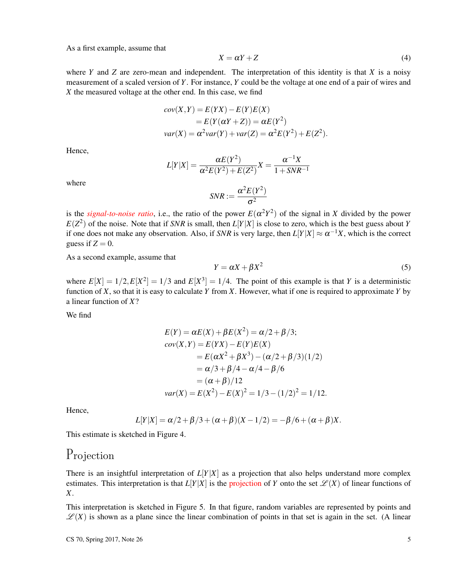As a first example, assume that

$$
X = \alpha Y + Z \tag{4}
$$

where *Y* and *Z* are zero-mean and independent. The interpretation of this identity is that *X* is a noisy measurement of a scaled version of *Y*. For instance, *Y* could be the voltage at one end of a pair of wires and *X* the measured voltage at the other end. In this case, we find

$$
cov(X,Y) = E(YX) - E(Y)E(X)
$$
  
=  $E(Y(\alpha Y + Z)) = \alpha E(Y^2)$   

$$
var(X) = \alpha^2 var(Y) + var(Z) = \alpha^2 E(Y^2) + E(Z^2).
$$

Hence,

$$
L[Y|X] = \frac{\alpha E(Y^2)}{\alpha^2 E(Y^2) + E(Z^2)} X = \frac{\alpha^{-1} X}{1 + SNR^{-1}}
$$

where

$$
SNR := \frac{\alpha^2 E(Y^2)}{\sigma^2}
$$

is the *signal-to-noise ratio*, i.e., the ratio of the power  $E(\alpha^2 Y^2)$  of the signal in *X* divided by the power  $E(Z^2)$  of the noise. Note that if *SNR* is small, then  $L[Y|X]$  is close to zero, which is the best guess about *Y* if one does not make any observation. Also, if *SNR* is very large, then  $L[Y|X] \approx \alpha^{-1}X$ , which is the correct guess if  $Z = 0$ .

As a second example, assume that

$$
Y = \alpha X + \beta X^2 \tag{5}
$$

where  $E[X] = 1/2, E[X^2] = 1/3$  and  $E[X^3] = 1/4$ . The point of this example is that *Y* is a deterministic function of *X*, so that it is easy to calculate *Y* from *X*. However, what if one is required to approximate *Y* by a linear function of *X*?

We find

$$
E(Y) = \alpha E(X) + \beta E(X^2) = \alpha/2 + \beta/3;
$$
  
\n
$$
cov(X, Y) = E(YX) - E(Y)E(X)
$$
  
\n
$$
= E(\alpha X^2 + \beta X^3) - (\alpha/2 + \beta/3)(1/2)
$$
  
\n
$$
= \alpha/3 + \beta/4 - \alpha/4 - \beta/6
$$
  
\n
$$
= (\alpha + \beta)/12
$$
  
\n
$$
var(X) = E(X^2) - E(X)^2 = 1/3 - (1/2)^2 = 1/12.
$$

Hence,

$$
L[Y|X] = \alpha/2 + \beta/3 + (\alpha + \beta)(X - 1/2) = -\beta/6 + (\alpha + \beta)X.
$$

This estimate is sketched in Figure 4.

### Projection

There is an insightful interpretation of  $L[Y|X]$  as a projection that also helps understand more complex estimates. This interpretation is that  $L[Y|X]$  is the projection of *Y* onto the set  $\mathscr{L}(X)$  of linear functions of *X*.

This interpretation is sketched in Figure 5. In that figure, random variables are represented by points and  $\mathscr{L}(X)$  is shown as a plane since the linear combination of points in that set is again in the set. (A linear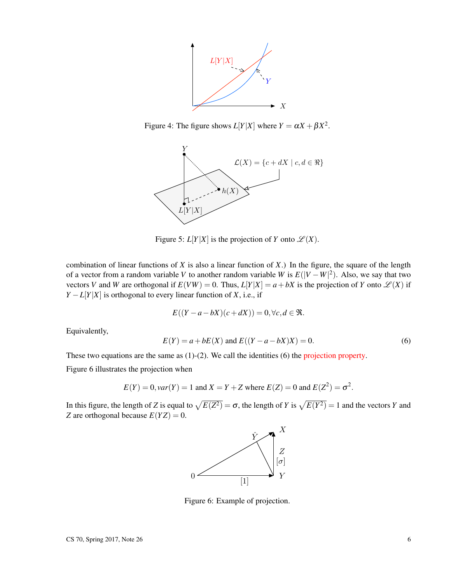

Figure 4: The figure shows  $L[Y|X]$  where  $Y = \alpha X + \beta X^2$ .



Figure 5:  $L[Y|X]$  is the projection of *Y* onto  $\mathscr{L}(X)$ .

combination of linear functions of *X* is also a linear function of *X*.) In the figure, the square of the length of a vector from a random variable *V* to another random variable *W* is  $E(|V - W|^2)$ . Also, we say that two vectors *V* and *W* are orthogonal if  $E(VW) = 0$ . Thus,  $L[Y|X] = a + bX$  is the projection of *Y* onto  $\mathscr{L}(X)$  if  $Y - L[Y|X]$  is orthogonal to every linear function of *X*, i.e., if

$$
E((Y-a-bX)(c+dX)) = 0, \forall c, d \in \mathfrak{R}.
$$

Equivalently,

$$
E(Y) = a + bE(X)
$$
 and  $E((Y - a - bX)X) = 0.$  (6)

These two equations are the same as (1)-(2). We call the identities (6) the projection property.

Figure 6 illustrates the projection when

$$
E(Y) = 0
$$
,  $var(Y) = 1$  and  $X = Y + Z$  where  $E(Z) = 0$  and  $E(Z^2) = \sigma^2$ .

In this figure, the length of *Z* is equal to  $\sqrt{E(Z^2)} = \sigma$ , the length of *Y* is  $\sqrt{E(Y^2)} = 1$  and the vectors *Y* and *Z* are orthogonal because  $E(YZ) = 0$ .



Figure 6: Example of projection.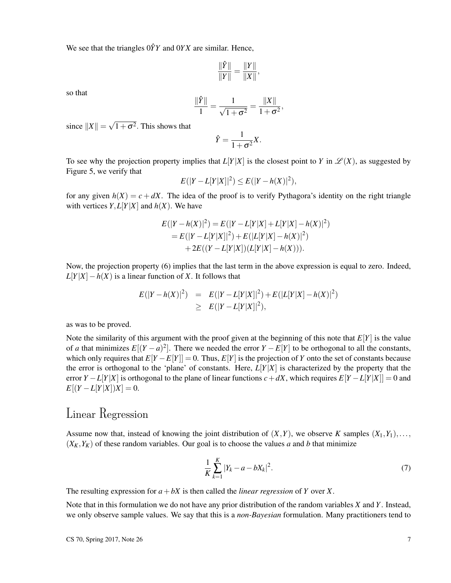We see that the triangles  $0\hat{Y}Y$  and  $0YX$  are similar. Hence,

$$
\frac{\|\hat{Y}\|}{\|Y\|} = \frac{\|Y\|}{\|X\|},
$$

so that

$$
\frac{\|\hat{Y}\|}{1} = \frac{1}{\sqrt{1+\sigma^2}} = \frac{\|X\|}{1+\sigma^2},
$$

since  $||X|| = \sqrt{1 + \sigma^2}$ . This shows that

$$
\hat{Y} = \frac{1}{1 + \sigma^2} X.
$$

To see why the projection property implies that  $L[Y|X]$  is the closest point to *Y* in  $\mathscr{L}(X)$ , as suggested by Figure 5, we verify that

$$
E(|Y - L[Y|X]|^2) \le E(|Y - h(X)|^2),
$$

for any given  $h(X) = c + dX$ . The idea of the proof is to verify Pythagora's identity on the right triangle with vertices  $Y, L[Y|X]$  and  $h(X)$ . We have

$$
E(|Y - h(X)|^2) = E(|Y - L[Y|X] + L[Y|X] - h(X)|^2)
$$
  
=  $E(|Y - L[Y|X]|^2) + E(|L[Y|X] - h(X)|^2)$   
+  $2E((Y - L[Y|X])(L[Y|X] - h(X))).$ 

Now, the projection property (6) implies that the last term in the above expression is equal to zero. Indeed,  $L[Y|X] - h(X)$  is a linear function of *X*. It follows that

$$
E(|Y - h(X)|^2) = E(|Y - L[Y|X]|^2) + E(|L[Y|X] - h(X)|^2)
$$
  
\n
$$
\geq E(|Y - L[Y|X]|^2),
$$

as was to be proved.

Note the similarity of this argument with the proof given at the beginning of this note that  $E[Y]$  is the value of *a* that minimizes  $E[(Y - a)^2]$ . There we needed the error  $Y - E[Y]$  to be orthogonal to all the constants, which only requires that  $E[Y - E[Y]] = 0$ . Thus,  $E[Y]$  is the projection of *Y* onto the set of constants because the error is orthogonal to the 'plane' of constants. Here, *L*[*Y*|*X*] is characterized by the property that the error  $Y - L[Y|X]$  is orthogonal to the plane of linear functions  $c + dX$ , which requires  $E[Y - L[Y|X]] = 0$  and  $E[(Y - L[Y|X])X] = 0.$ 

### Linear Regression

Assume now that, instead of knowing the joint distribution of  $(X, Y)$ , we observe *K* samples  $(X_1, Y_1), \ldots$ ,  $(X_K, Y_K)$  of these random variables. Our goal is to choose the values *a* and *b* that minimize

$$
\frac{1}{K} \sum_{k=1}^{K} |Y_k - a - bX_k|^2.
$$
\n(7)

The resulting expression for  $a + bX$  is then called the *linear regression* of *Y* over *X*.

Note that in this formulation we do not have any prior distribution of the random variables *X* and *Y*. Instead, we only observe sample values. We say that this is a *non-Bayesian* formulation. Many practitioners tend to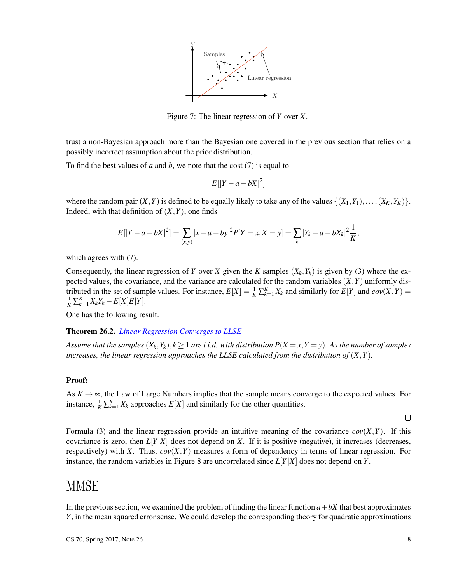

Figure 7: The linear regression of *Y* over *X*.

trust a non-Bayesian approach more than the Bayesian one covered in the previous section that relies on a possibly incorrect assumption about the prior distribution.

To find the best values of *a* and *b*, we note that the cost (7) is equal to

$$
E[|Y-a-bX|^2]
$$

where the random pair  $(X, Y)$  is defined to be equally likely to take any of the values  $\{(X_1, Y_1), \ldots, (X_K, Y_K)\}.$ Indeed, with that definition of  $(X, Y)$ , one finds

$$
E[|Y-a-bX|^2] = \sum_{(x,y)} |x-a-by|^2 P[Y=x, X=y] = \sum_{k} |Y_k-a-bX_k|^2 \frac{1}{K},
$$

which agrees with (7).

Consequently, the linear regression of *Y* over *X* given the *K* samples  $(X_k, Y_k)$  is given by (3) where the expected values, the covariance, and the variance are calculated for the random variables  $(X, Y)$  uniformly distributed in the set of sample values. For instance,  $E[X] = \frac{1}{K} \sum_{k=1}^{K} X_k$  and similarly for  $E[Y]$  and  $cov(X, Y) =$  $\frac{1}{K} \sum_{k=1}^{K} X_k Y_k - E[X] E[Y].$ 

One has the following result.

#### Theorem 26.2. *Linear Regression Converges to LLSE*

*Assume that the samples*  $(X_k, Y_k)$ ,  $k \geq 1$  *are i.i.d. with distribution*  $P(X = x, Y = y)$ *. As the number of samples increases, the linear regression approaches the LLSE calculated from the distribution of*  $(X, Y)$ *.* 

#### Proof:

As  $K \to \infty$ , the Law of Large Numbers implies that the sample means converge to the expected values. For instance,  $\frac{1}{K} \sum_{k=1}^{K} X_k$  approaches  $E[X]$  and similarly for the other quantities.

 $\Box$ 

Formula (3) and the linear regression provide an intuitive meaning of the covariance  $cov(X, Y)$ . If this covariance is zero, then  $L[Y|X]$  does not depend on *X*. If it is positive (negative), it increases (decreases, respectively) with *X*. Thus,  $cov(X, Y)$  measures a form of dependency in terms of linear regression. For instance, the random variables in Figure 8 are uncorrelated since *L*[*Y*|*X*] does not depend on *Y*.

### MMSE

In the previous section, we examined the problem of finding the linear function  $a + bX$  that best approximates *Y*, in the mean squared error sense. We could develop the corresponding theory for quadratic approximations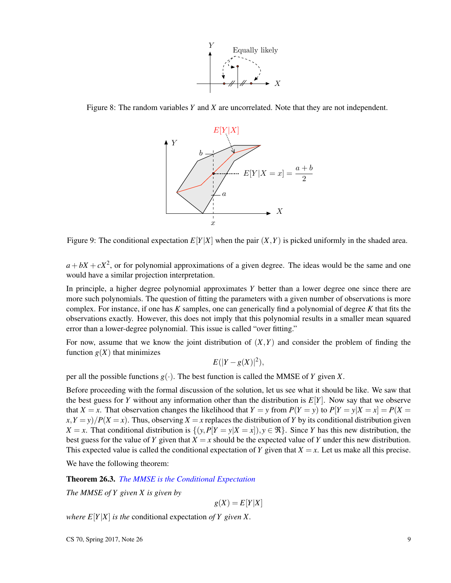

Figure 8: The random variables *Y* and *X* are uncorrelated. Note that they are not independent.



Figure 9: The conditional expectation  $E[Y|X]$  when the pair  $(X, Y)$  is picked uniformly in the shaded area.

 $a + bX + cX^2$ , or for polynomial approximations of a given degree. The ideas would be the same and one would have a similar projection interpretation.

In principle, a higher degree polynomial approximates *Y* better than a lower degree one since there are more such polynomials. The question of fitting the parameters with a given number of observations is more complex. For instance, if one has *K* samples, one can generically find a polynomial of degree *K* that fits the observations exactly. However, this does not imply that this polynomial results in a smaller mean squared error than a lower-degree polynomial. This issue is called "over fitting."

For now, assume that we know the joint distribution of  $(X, Y)$  and consider the problem of finding the function  $g(X)$  that minimizes

$$
E(|Y - g(X)|^2),
$$

per all the possible functions  $g(\cdot)$ . The best function is called the MMSE of *Y* given *X*.

Before proceeding with the formal discussion of the solution, let us see what it should be like. We saw that the best guess for *Y* without any information other than the distribution is *E*[*Y*]. Now say that we observe that *X* = *x*. That observation changes the likelihood that *Y* = *y* from  $P(Y = y)$  to  $P[Y = y|X = x] = P(X = y)$  $f(x, Y = y)/P(X = x)$ . Thus, observing  $X = x$  replaces the distribution of *Y* by its conditional distribution given *X* = *x*. That conditional distribution is  $\{(y, P[Y = y|X = x]), y \in \Re\}$ . Since *Y* has this new distribution, the best guess for the value of *Y* given that  $X = x$  should be the expected value of *Y* under this new distribution. This expected value is called the conditional expectation of *Y* given that  $X = x$ . Let us make all this precise.

We have the following theorem:

Theorem 26.3. *The MMSE is the Conditional Expectation*

*The MMSE of Y given X is given by*

 $g(X) = E[Y|X]$ 

*where*  $E[Y|X]$  *is the* conditional expectation *of*  $Y$  *given*  $X$ *.*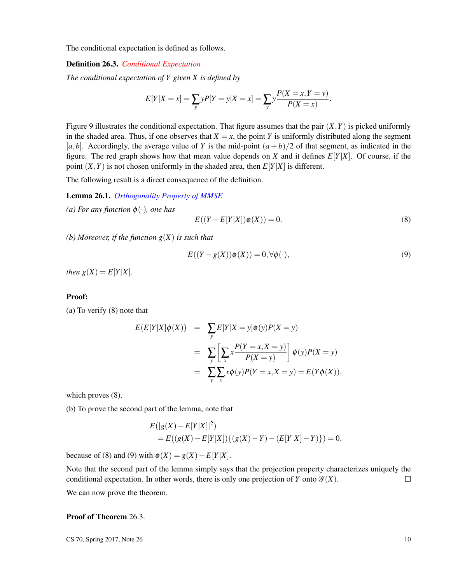The conditional expectation is defined as follows.

#### Definition 26.3. *Conditional Expectation*

*The conditional expectation of Y given X is defined by*

$$
E[Y|X = x] = \sum_{y} yP[Y = y|X = x] = \sum_{y} y\frac{P(X = x, Y = y)}{P(X = x)}.
$$

Figure 9 illustrates the conditional expectation. That figure assumes that the pair  $(X, Y)$  is picked uniformly in the shaded area. Thus, if one observes that  $X = x$ , the point *Y* is uniformly distributed along the segment  $[a,b]$ . Accordingly, the average value of *Y* is the mid-point  $(a+b)/2$  of that segment, as indicated in the figure. The red graph shows how that mean value depends on *X* and it defines *E*[*Y*|*X*]. Of course, if the point  $(X, Y)$  is not chosen uniformly in the shaded area, then  $E[Y|X]$  is different.

The following result is a direct consequence of the definition.

#### Lemma 26.1. *Orthogonality Property of MMSE*

*(a) For any function*  $\phi(\cdot)$ *, one has* 

$$
E((Y - E[Y|X])\phi(X)) = 0.
$$
\n(8)

*(b) Moreover, if the function g*(*X*) *is such that*

$$
E((Y - g(X))\phi(X)) = 0, \forall \phi(\cdot),
$$
\n(9)

*then*  $g(X) = E[Y|X]$ *.* 

#### Proof:

(a) To verify (8) note that

$$
E(E[Y|X]\phi(X)) = \sum_{y} E[Y|X=y]\phi(y)P(X=y)
$$
  
= 
$$
\sum_{y} \left[ \sum_{x} x \frac{P(Y=x, X=y)}{P(X=y)} \right] \phi(y)P(X=y)
$$
  
= 
$$
\sum_{y} \sum_{x} x \phi(y)P(Y=x, X=y) = E(Y\phi(X)),
$$

which proves  $(8)$ .

(b) To prove the second part of the lemma, note that

$$
E(|g(X) - E[Y|X]|^2)
$$
  
=  $E((g(X) - E[Y|X])\{(g(X) - Y) - (E[Y|X] - Y)\}) = 0,$ 

because of (8) and (9) with  $\phi(X) = g(X) - E[Y|X]$ .

Note that the second part of the lemma simply says that the projection property characterizes uniquely the conditional expectation. In other words, there is only one projection of *Y* onto  $\mathscr{G}(X)$ .  $\Box$ 

We can now prove the theorem.

#### Proof of Theorem 26.3.

 $\text{CS } 70$ , Spring 2017, Note 26 10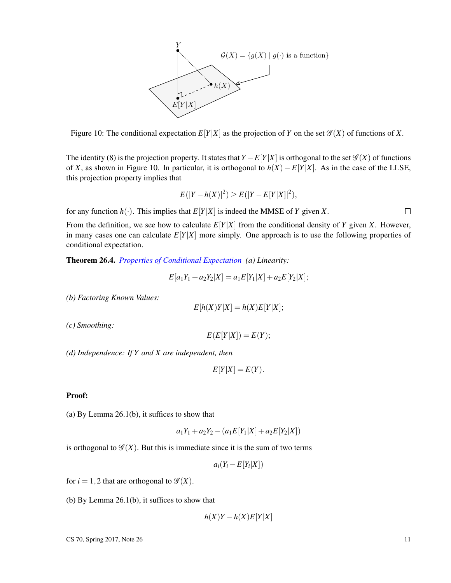

Figure 10: The conditional expectation  $E[Y|X]$  as the projection of *Y* on the set  $\mathcal{G}(X)$  of functions of *X*.

The identity (8) is the projection property. It states that  $Y - E[Y|X]$  is orthogonal to the set  $\mathscr{G}(X)$  of functions of *X*, as shown in Figure 10. In particular, it is orthogonal to *h*(*X*)−*E*[*Y*|*X*]. As in the case of the LLSE, this projection property implies that

$$
E(|Y - h(X)|^2) \ge E(|Y - E[Y|X]|^2),
$$

for any function  $h(\cdot)$ . This implies that  $E[Y|X]$  is indeed the MMSE of *Y* given *X*.

 $\Box$ 

From the definition, we see how to calculate  $E[Y|X]$  from the conditional density of *Y* given *X*. However, in many cases one can calculate  $E[Y|X]$  more simply. One approach is to use the following properties of conditional expectation.

Theorem 26.4. *Properties of Conditional Expectation (a) Linearity:*

$$
E[a_1Y_1 + a_2Y_2|X] = a_1E[Y_1|X] + a_2E[Y_2|X];
$$

*(b) Factoring Known Values:*

$$
E[h(X)Y|X] = h(X)E[Y|X];
$$

*(c) Smoothing:*

$$
E(E[Y|X])=E(Y);\\
$$

*(d) Independence: If Y and X are independent, then*

$$
E[Y|X] = E(Y).
$$

#### Proof:

(a) By Lemma 26.1(b), it suffices to show that

$$
a_1Y_1 + a_2Y_2 - (a_1E[Y_1|X] + a_2E[Y_2|X])
$$

is orthogonal to  $\mathscr{G}(X)$ . But this is immediate since it is the sum of two terms

 $a_i(Y_i - E[Y_i|X])$ 

for  $i = 1, 2$  that are orthogonal to  $\mathscr{G}(X)$ .

(b) By Lemma 26.1(b), it suffices to show that

$$
h(X)Y - h(X)E[Y|X]
$$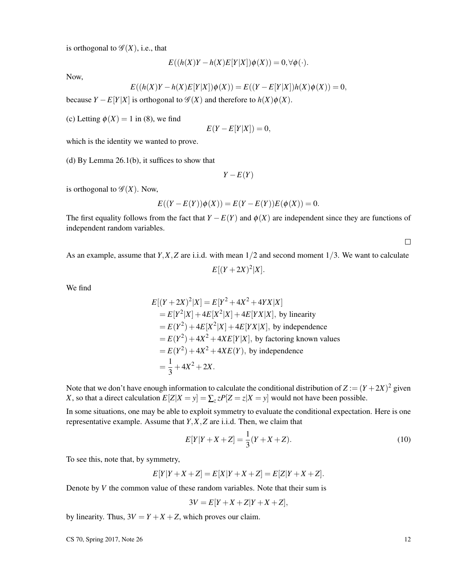is orthogonal to  $\mathscr{G}(X)$ , i.e., that

$$
E((h(X)Y - h(X)E[Y|X])\phi(X)) = 0, \forall \phi(\cdot).
$$

Now,

$$
E((h(X)Y - h(X)E[Y|X])\phi(X)) = E((Y - E[Y|X])h(X)\phi(X)) = 0,
$$

because  $Y - E[Y|X]$  is orthogonal to  $\mathscr{G}(X)$  and therefore to  $h(X)\phi(X)$ .

(c) Letting  $\phi(X) = 1$  in (8), we find

$$
E(Y - E[Y|X]) = 0,
$$

which is the identity we wanted to prove.

(d) By Lemma 26.1(b), it suffices to show that

$$
Y - E(Y)
$$

is orthogonal to  $\mathscr{G}(X)$ . Now,

$$
E((Y – E(Y))\phi(X)) = E(Y – E(Y))E(\phi(X)) = 0.
$$

The first equality follows from the fact that  $Y - E(Y)$  and  $\phi(X)$  are independent since they are functions of independent random variables.

 $\Box$ 

As an example, assume that *Y*,*X*,*Z* are i.i.d. with mean 1/2 and second moment 1/3. We want to calculate  $E[(Y+2X)^{2}|X].$ 

We find

$$
E[(Y+2X)^2|X] = E[Y^2+4X^2+4YX|X]
$$
  
=  $E[Y^2|X]+4E[X^2|X]+4E[YX|X]$ , by linearity  
=  $E(Y^2)+4E[X^2|X]+4E[YX|X]$ , by independence  
=  $E(Y^2)+4X^2+4XE[Y|X]$ , by factoring known values  
=  $E(Y^2)+4X^2+4XE(Y)$ , by independence  
=  $\frac{1}{3}+4X^2+2X$ .

Note that we don't have enough information to calculate the conditional distribution of  $Z := (Y + 2X)^2$  given *X*, so that a direct calculation  $E[Z|X = y] = \sum_{z} zP[Z = z|X = y]$  would not have been possible.

In some situations, one may be able to exploit symmetry to evaluate the conditional expectation. Here is one representative example. Assume that *Y*,*X*,*Z* are i.i.d. Then, we claim that

$$
E[Y|Y+X+Z] = \frac{1}{3}(Y+X+Z). \tag{10}
$$

To see this, note that, by symmetry,

$$
E[Y|Y+X+Z] = E[X|Y+X+Z] = E[Z|Y+X+Z].
$$

Denote by *V* the common value of these random variables. Note that their sum is

$$
3V = E[Y + X + Z|Y + X + Z],
$$

by linearity. Thus,  $3V = Y + X + Z$ , which proves our claim.

 $\text{CS } 70, \text{ Spring } 2017, \text{ Note } 26$  12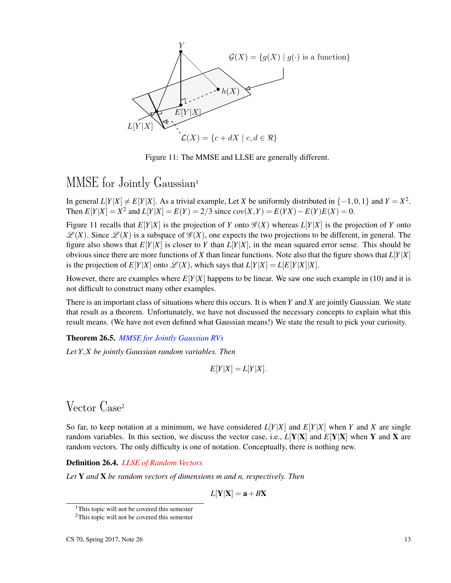

Figure 11: The MMSE and LLSE are generally different.

### MMSE for Jointly Gaussian<sup>1</sup>

In general  $L[Y|X] \neq E[Y|X]$ . As a trivial example, Let *X* be uniformly distributed in  $\{-1,0,1\}$  and  $Y = X^2$ . Then  $E[Y|X] = X^2$  and  $L[Y|X] = E(Y) = 2/3$  since  $cov(X, Y) = E(YX) - E(Y)E(X) = 0$ .

Figure 11 recalls that  $E[Y|X]$  is the projection of *Y* onto  $\mathscr{G}(X)$  whereas  $L[Y|X]$  is the projection of *Y* onto  $\mathscr{L}(X)$ . Since  $\mathscr{L}(X)$  is a subspace of  $\mathscr{G}(X)$ , one expects the two projections to be different, in general. The figure also shows that  $E[Y|X]$  is closer to *Y* than  $L[Y|X]$ , in the mean squared error sense. This should be obvious since there are more functions of *X* than linear functions. Note also that the figure shows that *L*[*Y*|*X*] is the projection of  $E[Y|X]$  onto  $\mathcal{L}(X)$ , which says that  $L[Y|X] = L[E[Y|X]|X]$ .

However, there are examples where  $E[Y|X]$  happens to be linear. We saw one such example in (10) and it is not difficult to construct many other examples.

There is an important class of situations where this occurs. It is when *Y* and *X* are jointly Gaussian. We state that result as a theorem. Unfortunately, we have not discussed the necessary concepts to explain what this result means. (We have not even defined what Gaussian means!) We state the result to pick your curiosity.

Theorem 26.5. *MMSE for Jointly Gaussian RVs*

*Let Y*,*X be jointly Gaussian random variables. Then*

$$
E[Y|X] = L[Y|X].
$$

### Vector Case<sup>2</sup>

So far, to keep notation at a minimum, we have considered  $L[Y|X]$  and  $E[Y|X]$  when *Y* and *X* are single random variables. In this section, we discuss the vector case, i.e.,  $L[Y|X]$  and  $E[Y|X]$  when Y and X are random vectors. The only difficulty is one of notation. Conceptually, there is nothing new.

#### Definition 26.4. *LLSE of Random Vectors*

*Let* Y *and* X *be random vectors of dimensions m and n, respectively. Then*

 $L[Y|X] = a + BX$ 

<sup>&</sup>lt;sup>1</sup>This topic will not be covered this semester

 $2$ This topic will not be covered this semester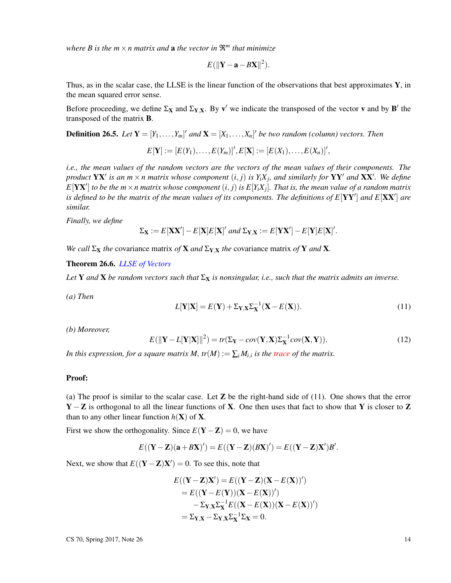*where B is the*  $m \times n$  *matrix and a the vector in*  $\mathbb{R}^m$  *that minimize* 

$$
E(||\mathbf{Y}-\mathbf{a}-B\mathbf{X}||^2).
$$

Thus, as in the scalar case, the LLSE is the linear function of the observations that best approximates  $Y$ , in the mean squared error sense.

Before proceeding, we define  $\Sigma_X$  and  $\Sigma_{Y,X}$ . By v' we indicate the transposed of the vector v and by **B**' the transposed of the matrix B.

**Definition 26.5.** Let  $Y = [Y_1, \ldots, Y_m]'$  and  $X = [X_1, \ldots, X_n]'$  be two random (column) vectors. Then

$$
E[Y] := [E(Y_1), \ldots, E(Y_m)]', E[X] := [E(X_1), \ldots, E(X_n)]',
$$

*i.e., the mean values of the random vectors are the vectors of the mean values of their components. The product*  $\mathbf{Y} \mathbf{X}'$  *is an m*  $\times$  *n matrix whose component*  $(i, j)$  *is Y<sub>i</sub>X<sub>j</sub>, and similarly for*  $\mathbf{Y} \mathbf{Y}'$  *and*  $\mathbf{X} \mathbf{X}'$ *. We define*  $E[{\bf Y}{\bf X}']$  *to be the m*  $\times$  *n matrix whose component*  $(i,j)$  *is*  $E[Y_iX_j]$ *. That is, the mean value of a random matrix* is defined to be the matrix of the mean values of its components. The definitions of  $E[{\bf Y} {\bf Y}']$  and  $E[{\bf X} {\bf X}']$  are *similar.*

*Finally, we define*

$$
\Sigma_{\mathbf{X}} := E[\mathbf{X}\mathbf{X}'] - E[\mathbf{X}]E[\mathbf{X}]'
$$
 and 
$$
\Sigma_{\mathbf{Y},\mathbf{X}} := E[\mathbf{Y}\mathbf{X}'] - E[\mathbf{Y}]E[\mathbf{X}]'.
$$

*We call*  $\Sigma_X$  *the* covariance matrix *of* **X** *and*  $\Sigma_{Y,X}$  *the* covariance matrix *of* **Y** *and* **X**.

#### Theorem 26.6. *LLSE of Vectors*

Let **Y** and **X** be random vectors such that  $\Sigma_{\bf X}$  is nonsingular, i.e., such that the matrix admits an inverse.

*(a) Then*

$$
L[\mathbf{Y}|\mathbf{X}] = E(\mathbf{Y}) + \Sigma_{\mathbf{Y},\mathbf{X}} \Sigma_{\mathbf{X}}^{-1} (\mathbf{X} - E(\mathbf{X})).
$$
\n(11)

*(b) Moreover,*

$$
E(||\mathbf{Y} - L[\mathbf{Y}|\mathbf{X}]||^2) = tr(\Sigma_{\mathbf{Y}} - cov(\mathbf{Y}, \mathbf{X})\Sigma_{\mathbf{X}}^{-1}cov(\mathbf{X}, \mathbf{Y})).
$$
\n(12)

*In this expression, for a square matrix M, tr*( $M$ ) :=  $\sum_i M_{i,i}$  *is the trace of the matrix.* 

#### Proof:

(a) The proof is similar to the scalar case. Let  $\mathbb Z$  be the right-hand side of (11). One shows that the error  $Y - Z$  is orthogonal to all the linear functions of X. One then uses that fact to show that Y is closer to Z than to any other linear function  $h(\mathbf{X})$  of **X**.

First we show the orthogonality. Since  $E(Y - Z) = 0$ , we have

$$
E((\mathbf{Y}-\mathbf{Z})(\mathbf{a}+B\mathbf{X})')=E((\mathbf{Y}-\mathbf{Z})(B\mathbf{X})')=E((\mathbf{Y}-\mathbf{Z})\mathbf{X}')B'.
$$

Next, we show that  $E((\mathbf{Y}-\mathbf{Z})\mathbf{X}') = 0$ . To see this, note that

$$
E((\mathbf{Y}-\mathbf{Z})\mathbf{X}') = E((\mathbf{Y}-\mathbf{Z})(\mathbf{X}-E(\mathbf{X}))')
$$
  
=  $E((\mathbf{Y}-E(\mathbf{Y}))(\mathbf{X}-E(\mathbf{X}))')$   
 $-\Sigma_{\mathbf{Y},\mathbf{X}}\Sigma_{\mathbf{X}}^{-1}E((\mathbf{X}-E(\mathbf{X}))(\mathbf{X}-E(\mathbf{X}))')$   
=  $\Sigma_{\mathbf{Y},\mathbf{X}}-\Sigma_{\mathbf{Y},\mathbf{X}}\Sigma_{\mathbf{X}}^{-1}\Sigma_{\mathbf{X}} = 0.$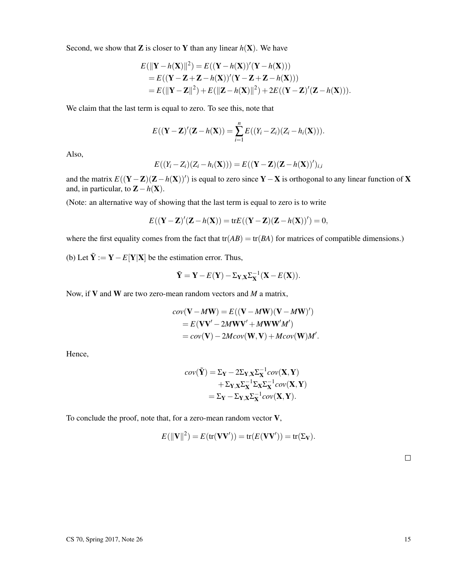Second, we show that **Z** is closer to **Y** than any linear  $h(\mathbf{X})$ . We have

$$
E(||\mathbf{Y} - h(\mathbf{X})||^2) = E((\mathbf{Y} - h(\mathbf{X}))'(\mathbf{Y} - h(\mathbf{X})))
$$
  
=  $E((\mathbf{Y} - \mathbf{Z} + \mathbf{Z} - h(\mathbf{X}))'(\mathbf{Y} - \mathbf{Z} + \mathbf{Z} - h(\mathbf{X})))$   
=  $E(||\mathbf{Y} - \mathbf{Z}||^2) + E(||\mathbf{Z} - h(\mathbf{X})||^2) + 2E((\mathbf{Y} - \mathbf{Z})'(\mathbf{Z} - h(\mathbf{X}))).$ 

We claim that the last term is equal to zero. To see this, note that

$$
E((\mathbf{Y}-\mathbf{Z})'(\mathbf{Z}-h(\mathbf{X}))=\sum_{i=1}^n E((Y_i-Z_i)(Z_i-h_i(\mathbf{X}))).
$$

Also,

$$
E((Y_i - Z_i)(Z_i - h_i(\mathbf{X}))) = E((\mathbf{Y} - \mathbf{Z})(\mathbf{Z} - h(\mathbf{X}))')_{i,i}
$$

and the matrix  $E((\mathbf{Y}-\mathbf{Z})(\mathbf{Z}-h(\mathbf{X}))')$  is equal to zero since  $\mathbf{Y}-\mathbf{X}$  is orthogonal to any linear function of X and, in particular, to  $\mathbf{Z} - h(\mathbf{X})$ .

(Note: an alternative way of showing that the last term is equal to zero is to write

$$
E((\mathbf{Y}-\mathbf{Z})'(\mathbf{Z}-h(\mathbf{X})) = \text{tr}E((\mathbf{Y}-\mathbf{Z})(\mathbf{Z}-h(\mathbf{X}))') = 0,
$$

where the first equality comes from the fact that  $tr(AB) = tr(BA)$  for matrices of compatible dimensions.)

(b) Let  $\tilde{Y} := Y - E[Y|X]$  be the estimation error. Thus,

$$
\tilde{\mathbf{Y}} = \mathbf{Y} - E(\mathbf{Y}) - \Sigma_{\mathbf{Y}, \mathbf{X}} \Sigma_{\mathbf{X}}^{-1} (\mathbf{X} - E(\mathbf{X})).
$$

Now, if V and W are two zero-mean random vectors and *M* a matrix,

$$
cov(\mathbf{V} - M\mathbf{W}) = E((\mathbf{V} - M\mathbf{W})(\mathbf{V} - M\mathbf{W})')
$$
  
=  $E(\mathbf{V}\mathbf{V}' - 2M\mathbf{W}\mathbf{V}' + M\mathbf{W}\mathbf{W}'M')$   
=  $cov(\mathbf{V}) - 2Mcov(\mathbf{W}, \mathbf{V}) + Mcov(\mathbf{W})M'.$ 

Hence,

$$
cov(\tilde{\mathbf{Y}}) = \Sigma_{\mathbf{Y}} - 2\Sigma_{\mathbf{Y},\mathbf{X}} \Sigma_{\mathbf{X}}^{-1} cov(\mathbf{X}, \mathbf{Y})
$$

$$
+ \Sigma_{\mathbf{Y},\mathbf{X}} \Sigma_{\mathbf{X}}^{-1} \Sigma_{\mathbf{X}} \Sigma_{\mathbf{X}}^{-1} cov(\mathbf{X}, \mathbf{Y})
$$

$$
= \Sigma_{\mathbf{Y}} - \Sigma_{\mathbf{Y},\mathbf{X}} \Sigma_{\mathbf{X}}^{-1} cov(\mathbf{X}, \mathbf{Y}).
$$

To conclude the proof, note that, for a zero-mean random vector V,

$$
E(||\mathbf{V}||^2) = E(\text{tr}(\mathbf{V}\mathbf{V}')) = \text{tr}(E(\mathbf{V}\mathbf{V}')) = \text{tr}(\Sigma_{\mathbf{V}}).
$$

 $\Box$